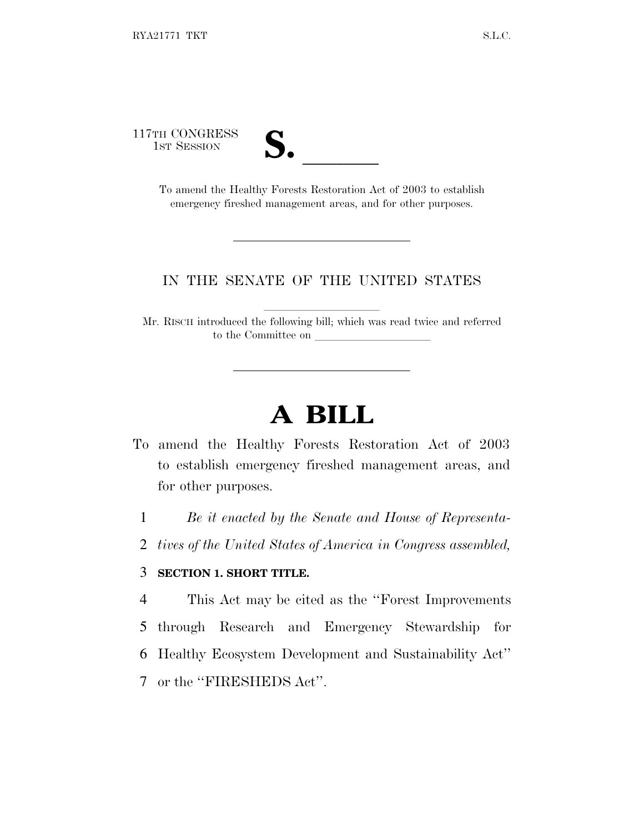117TH CONGRESS



TH CONGRESS<br>
1ST SESSION<br>
To amend the Healthy Forests Restoration Act of 2003 to establish emergency fireshed management areas, and for other purposes.

#### IN THE SENATE OF THE UNITED STATES

Mr. RISCH introduced the following bill; which was read twice and referred to the Committee on

# **A BILL**

- To amend the Healthy Forests Restoration Act of 2003 to establish emergency fireshed management areas, and for other purposes.
	- 1 *Be it enacted by the Senate and House of Representa-*
	- 2 *tives of the United States of America in Congress assembled,*

#### 3 **SECTION 1. SHORT TITLE.**

 This Act may be cited as the ''Forest Improvements through Research and Emergency Stewardship for Healthy Ecosystem Development and Sustainability Act'' or the ''FIRESHEDS Act''.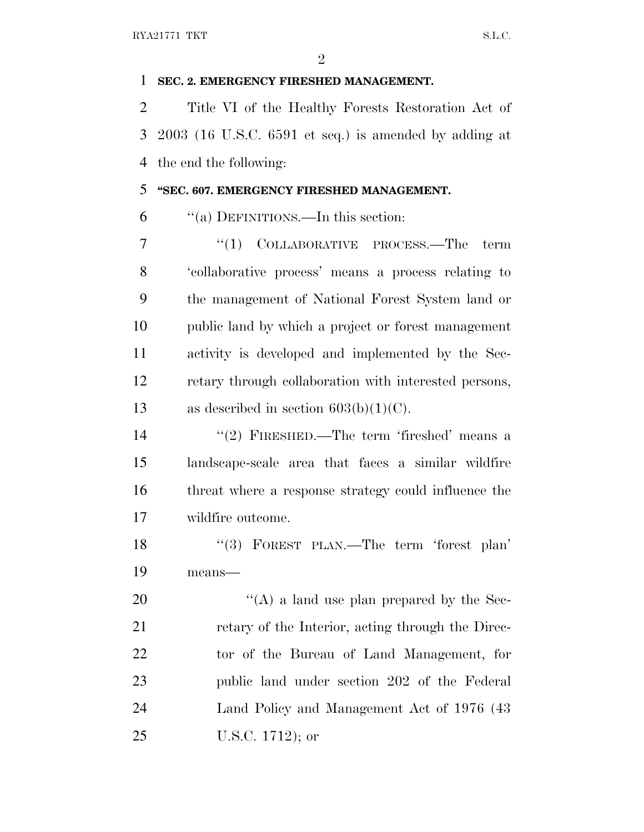$\mathfrak{D}$ 

### **SEC. 2. EMERGENCY FIRESHED MANAGEMENT.**

 Title VI of the Healthy Forests Restoration Act of 2003 (16 U.S.C. 6591 et seq.) is amended by adding at the end the following:

## **''SEC. 607. EMERGENCY FIRESHED MANAGEMENT.**

''(a) DEFINITIONS.—In this section:

7 "(1) COLLABORATIVE PROCESS.—The term 'collaborative process' means a process relating to the management of National Forest System land or public land by which a project or forest management activity is developed and implemented by the Sec- retary through collaboration with interested persons, 13 as described in section  $603(b)(1)(C)$ .

14 ''(2) FIRESHED.—The term 'fireshed' means a landscape-scale area that faces a similar wildfire threat where a response strategy could influence the wildfire outcome.

 ''(3) FOREST PLAN.—The term 'forest plan' means—

 $\langle (A)$  a land use plan prepared by the Sec- retary of the Interior, acting through the Direc- tor of the Bureau of Land Management, for public land under section 202 of the Federal Land Policy and Management Act of 1976 (43 U.S.C. 1712); or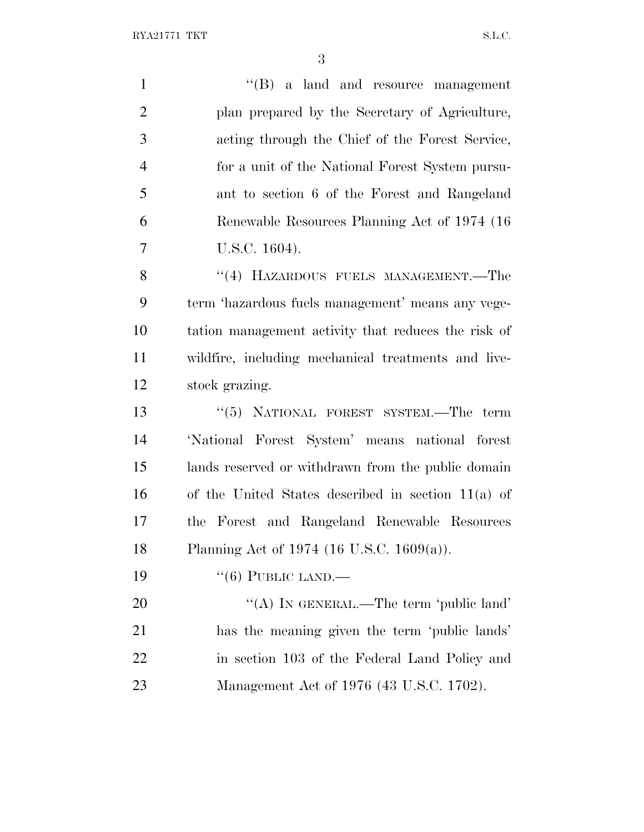$\text{RYA21771 TKT}$  S.L.C.

| $\mathbf{1}$   | $\lq\lq$ (B) a land and resource management          |
|----------------|------------------------------------------------------|
| $\overline{2}$ | plan prepared by the Secretary of Agriculture,       |
| 3              | acting through the Chief of the Forest Service,      |
| $\overline{4}$ | for a unit of the National Forest System pursu-      |
| 5              | ant to section 6 of the Forest and Rangeland         |
| 6              | Renewable Resources Planning Act of 1974 (16)        |
| 7              | U.S.C. 1604).                                        |
| 8              | "(4) HAZARDOUS FUELS MANAGEMENT.—The                 |
| 9              | term 'hazardous fuels management' means any vege-    |
| 10             | tation management activity that reduces the risk of  |
| 11             | wildfire, including mechanical treatments and live-  |
| 12             | stock grazing.                                       |
| 13             | "(5) NATIONAL FOREST SYSTEM.—The term                |
| 14             | 'National Forest System' means national forest       |
| 15             | lands reserved or withdrawn from the public domain   |
| 16             | of the United States described in section $11(a)$ of |
| 17             | the Forest and Rangeland Renewable Resources         |
| 18             | Planning Act of 1974 (16 U.S.C. 1609(a)).            |
| 19             | $\lq\lq(6)$ PUBLIC LAND.—                            |
| 20             | "(A) IN GENERAL.—The term 'public land'              |
| 21             | has the meaning given the term 'public lands'        |
| 22             | in section 103 of the Federal Land Policy and        |
| 23             | Management Act of 1976 (43 U.S.C. 1702).             |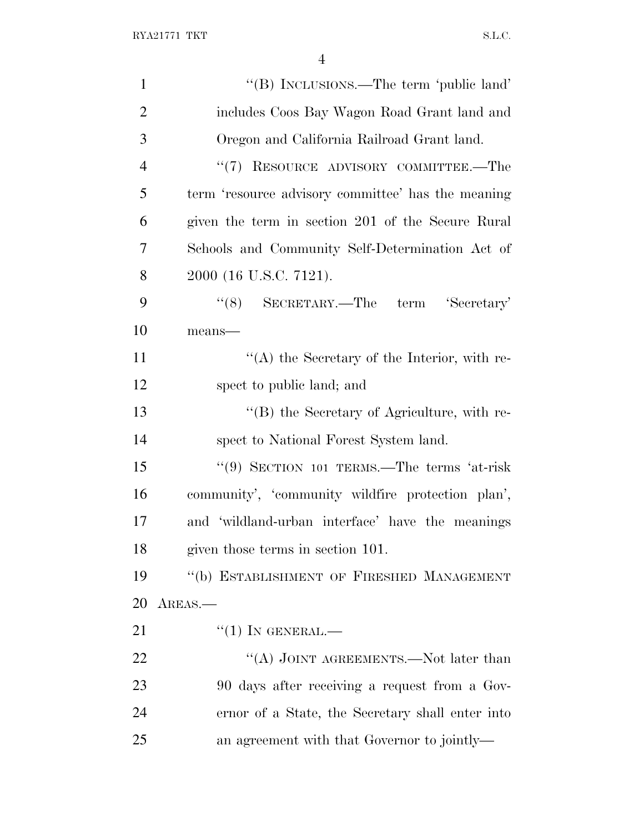| $\mathbf{1}$   | "(B) INCLUSIONS.—The term 'public land'            |
|----------------|----------------------------------------------------|
| $\overline{2}$ | includes Coos Bay Wagon Road Grant land and        |
| 3              | Oregon and California Railroad Grant land.         |
| $\overline{4}$ | "(7) RESOURCE ADVISORY COMMITTEE.—The              |
| 5              | term 'resource advisory committee' has the meaning |
| 6              | given the term in section 201 of the Secure Rural  |
| 7              | Schools and Community Self-Determination Act of    |
| 8              | 2000 (16 U.S.C. 7121).                             |
| 9              | $``(8)$ SECRETARY.—The term 'Secretary'            |
| 10             | means-                                             |
| 11             | $\lq\lq$ the Secretary of the Interior, with re-   |
| 12             | spect to public land; and                          |
| 13             | "(B) the Secretary of Agriculture, with re-        |
| 14             | spect to National Forest System land.              |
| 15             | "(9) SECTION 101 TERMS.—The terms 'at-risk         |
| 16             | community', 'community wildfire protection plan',  |
| 17             | and 'wildland-urban interface' have the meanings   |
| 18             | given those terms in section 101.                  |
| 19             | "(b) ESTABLISHMENT OF FIRESHED MANAGEMENT          |
| 20             | AREAS.—                                            |
| 21             | $``(1)$ IN GENERAL.—                               |
| 22             | "(A) JOINT AGREEMENTS.—Not later than              |
| 23             | 90 days after receiving a request from a Gov-      |
| 24             | ernor of a State, the Secretary shall enter into   |
| 25             | an agreement with that Governor to jointly—        |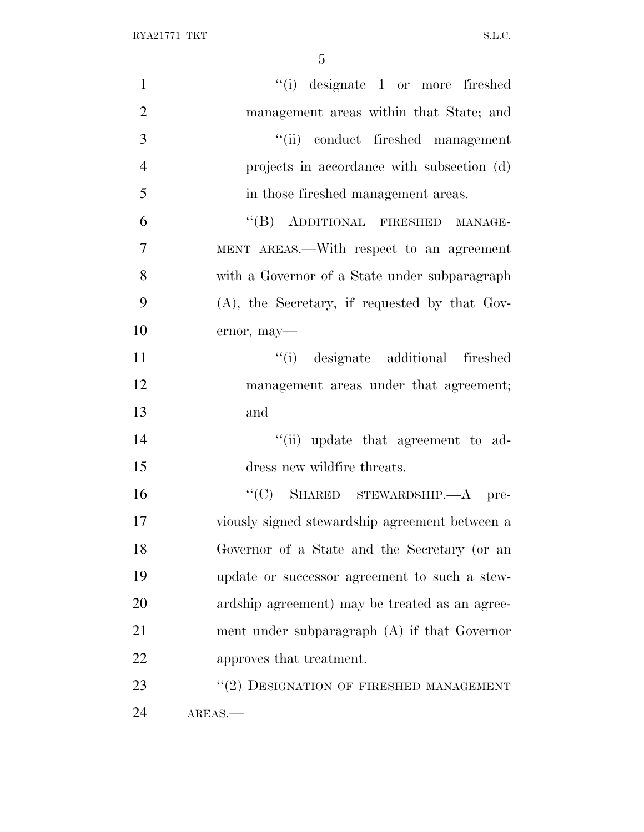$\text{RYA21771 TKT}$  S.L.C.

| $\mathbf{1}$   | "(i) designate 1 or more fireshed                |
|----------------|--------------------------------------------------|
| $\overline{2}$ | management areas within that State; and          |
| 3              | "(ii) conduct fireshed management                |
| $\overline{4}$ | projects in accordance with subsection (d)       |
| 5              | in those fireshed management areas.              |
| 6              | "(B) ADDITIONAL FIRESHED MANAGE-                 |
| $\overline{7}$ | MENT AREAS.—With respect to an agreement         |
| 8              | with a Governor of a State under subparagraph    |
| 9              | $(A)$ , the Secretary, if requested by that Gov- |
| 10             | ernor, may-                                      |
| 11             | "(i) designate additional fireshed               |
| 12             | management areas under that agreement;           |
| 13             | and                                              |
| 14             | "(ii) update that agreement to ad-               |
| 15             | dress new wildfire threats.                      |
| 16             | "(C) SHARED STEWARDSHIP.- A pre-                 |
| 17             | viously signed stewardship agreement between a   |
| 18             | Governor of a State and the Secretary (or an     |
| 19             | update or successor agreement to such a stew-    |
| 20             | ardship agreement) may be treated as an agree-   |
| 21             | ment under subparagraph (A) if that Governor     |
| 22             | approves that treatment.                         |
| 23             | "(2) DESIGNATION OF FIRESHED MANAGEMENT          |
| 24             | AREAS.                                           |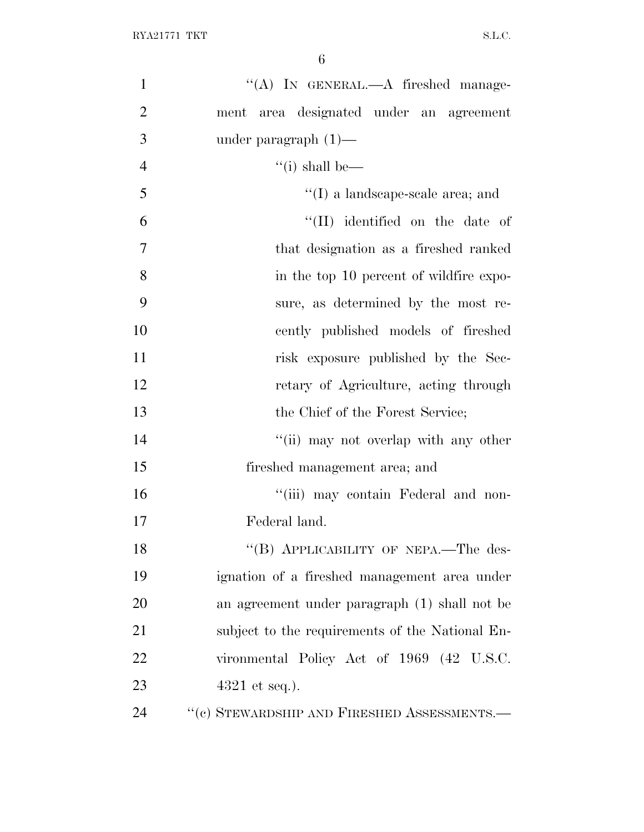| $\mathbf{1}$   | "(A) IN GENERAL.—A fireshed manage-             |
|----------------|-------------------------------------------------|
| $\overline{2}$ | ment area designated under an agreement         |
| 3              | under paragraph $(1)$ —                         |
| $\overline{4}$ | "(i) shall be—                                  |
| 5              | $\lq\lq$ (I) a landscape-scale area; and        |
| 6              | "(II) identified on the date of                 |
| 7              | that designation as a fireshed ranked           |
| 8              | in the top 10 percent of wildfire expo-         |
| 9              | sure, as determined by the most re-             |
| 10             | cently published models of fireshed             |
| 11             | risk exposure published by the Sec-             |
| 12             | retary of Agriculture, acting through           |
| 13             | the Chief of the Forest Service;                |
| 14             | "(ii) may not overlap with any other            |
| 15             | fireshed management area; and                   |
| 16             | "(iii) may contain Federal and non-             |
| 17             | Federal land.                                   |
| 18             | "(B) APPLICABILITY OF NEPA.—The des-            |
| 19             | ignation of a fireshed management area under    |
| 20             | an agreement under paragraph (1) shall not be   |
| 21             | subject to the requirements of the National En- |
| 22             | vironmental Policy Act of 1969 (42 U.S.C.       |
| 23             | $4321$ et seq.).                                |
| 24             | $``(c)$ STEWARDSHIP AND FIRESHED ASSESSMENTS.—  |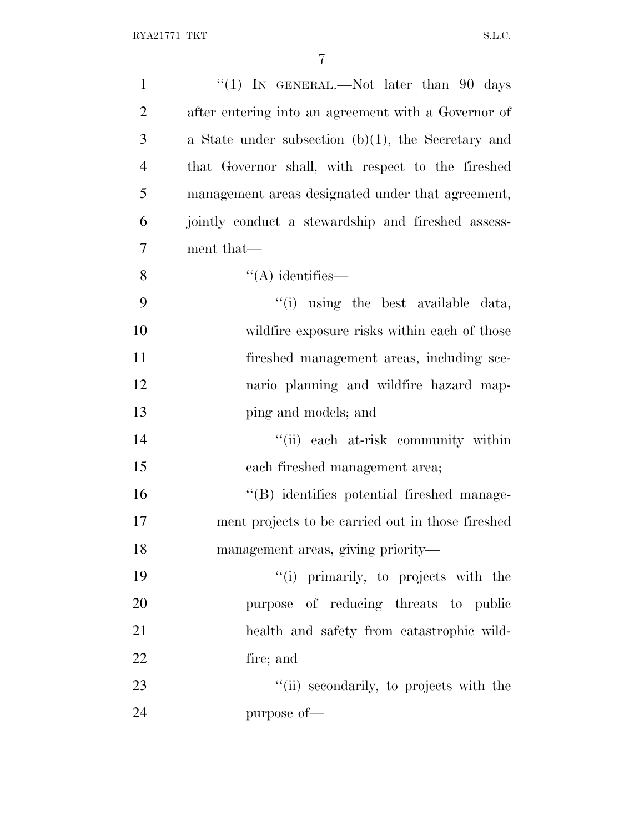| $\mathbf{1}$   | "(1) IN GENERAL.—Not later than $90$ days             |
|----------------|-------------------------------------------------------|
| $\overline{2}$ | after entering into an agreement with a Governor of   |
| 3              | a State under subsection $(b)(1)$ , the Secretary and |
| $\overline{4}$ | that Governor shall, with respect to the fireshed     |
| 5              | management areas designated under that agreement,     |
| 6              | jointly conduct a stewardship and fireshed assess-    |
| 7              | ment that—                                            |
| 8              | $\lq\lq$ identifies —                                 |
| 9              | "(i) using the best available data,                   |
| 10             | wildfire exposure risks within each of those          |
| 11             | fireshed management areas, including sce-             |
| 12             | nario planning and wildfire hazard map-               |
| 13             | ping and models; and                                  |
| 14             | "(ii) each at-risk community within                   |
| 15             | each fireshed management area;                        |
| 16             | "(B) identifies potential fireshed manage-            |
| 17             | ment projects to be carried out in those fireshed     |
| 18             | management areas, giving priority—                    |
| 19             | "(i) primarily, to projects with the                  |
| 20             | purpose of reducing threats to public                 |
| 21             | health and safety from catastrophic wild-             |
| 22             | fire; and                                             |
| 23             | "(ii) secondarily, to projects with the               |
| 24             | purpose of-                                           |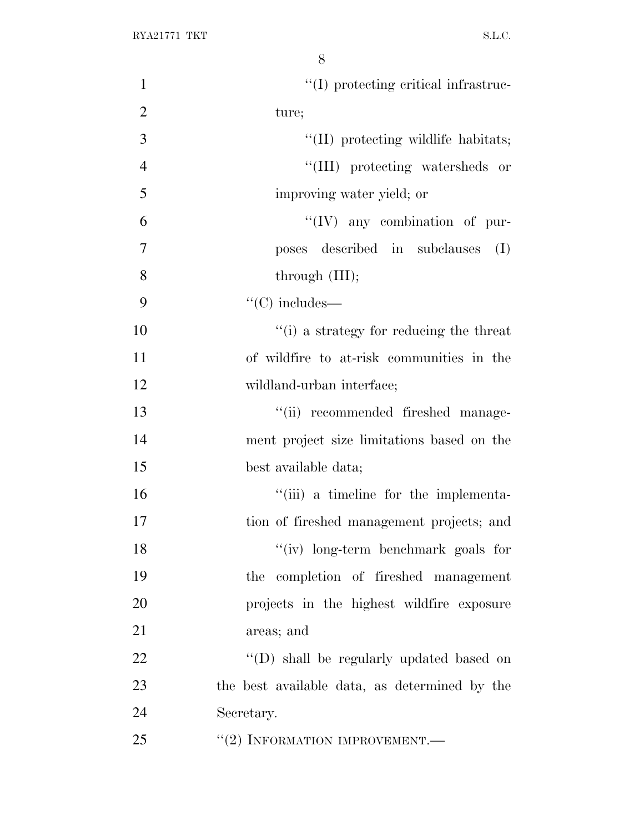| $\mathbf{1}$   | $\lq\lq$ (I) protecting critical infrastruc-  |
|----------------|-----------------------------------------------|
| $\overline{2}$ | ture;                                         |
| 3              | "(II) protecting wildlife habitats;           |
| $\overline{4}$ | "(III) protecting watersheds or               |
| 5              | improving water yield; or                     |
| 6              | $``(IV)$ any combination of pur-              |
| $\overline{7}$ | poses described in subclauses<br>(I)          |
| 8              | through $(III);$                              |
| 9              | $\lq\lq$ (C) includes—                        |
| 10             | "(i) a strategy for reducing the threat       |
| 11             | of wildfire to at-risk communities in the     |
| 12             | wildland-urban interface;                     |
| 13             | "(ii) recommended fireshed manage-            |
| 14             | ment project size limitations based on the    |
| 15             | best available data;                          |
| 16             | "(iii) a timeline for the implementa-         |
| 17             | tion of fireshed management projects; and     |
| 18             | "(iv) long-term benchmark goals for           |
| 19             | the completion of fireshed management         |
| 20             | projects in the highest wildfire exposure     |
| 21             | areas; and                                    |
| 22             | "(D) shall be regularly updated based on      |
| 23             | the best available data, as determined by the |
| 24             | Secretary.                                    |
| 25             | $``(2)$ INFORMATION IMPROVEMENT.—             |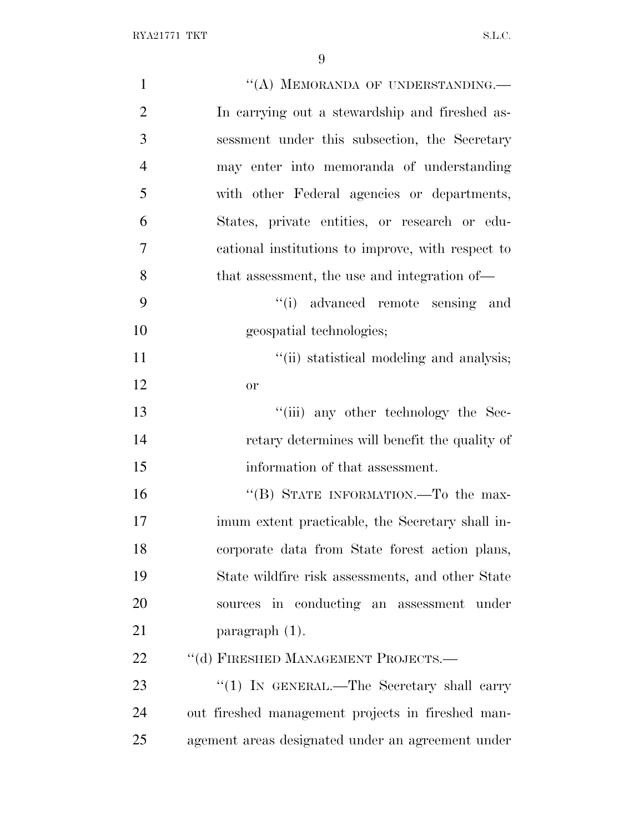| $\mathbf{1}$   | "(A) MEMORANDA OF UNDERSTANDING.—                 |
|----------------|---------------------------------------------------|
| $\overline{2}$ | In carrying out a stewardship and fireshed as-    |
| 3              | sessment under this subsection, the Secretary     |
| $\overline{4}$ | may enter into memoranda of understanding         |
| 5              | with other Federal agencies or departments,       |
| 6              | States, private entities, or research or edu-     |
| 7              | cational institutions to improve, with respect to |
| 8              | that assessment, the use and integration of—      |
| 9              | "(i) advanced remote sensing and                  |
| 10             | geospatial technologies;                          |
| 11             | "(ii) statistical modeling and analysis;          |
| 12             | <b>or</b>                                         |
| 13             | "(iii) any other technology the Sec-              |
| 14             | retary determines will benefit the quality of     |
| 15             | information of that assessment.                   |
| 16             | "(B) STATE INFORMATION.—To the max-               |
| 17             | imum extent practicable, the Secretary shall in-  |
| 18             | corporate data from State forest action plans,    |
| 19             | State wildfire risk assessments, and other State  |
| 20             | sources in conducting an assessment under         |
| 21             | $\frac{1}{2}$ paragraph (1).                      |
| 22             | "(d) FIRESHED MANAGEMENT PROJECTS.-               |
| 23             | "(1) IN GENERAL.—The Secretary shall carry        |
| 24             | out fireshed management projects in fireshed man- |
| 25             | agement areas designated under an agreement under |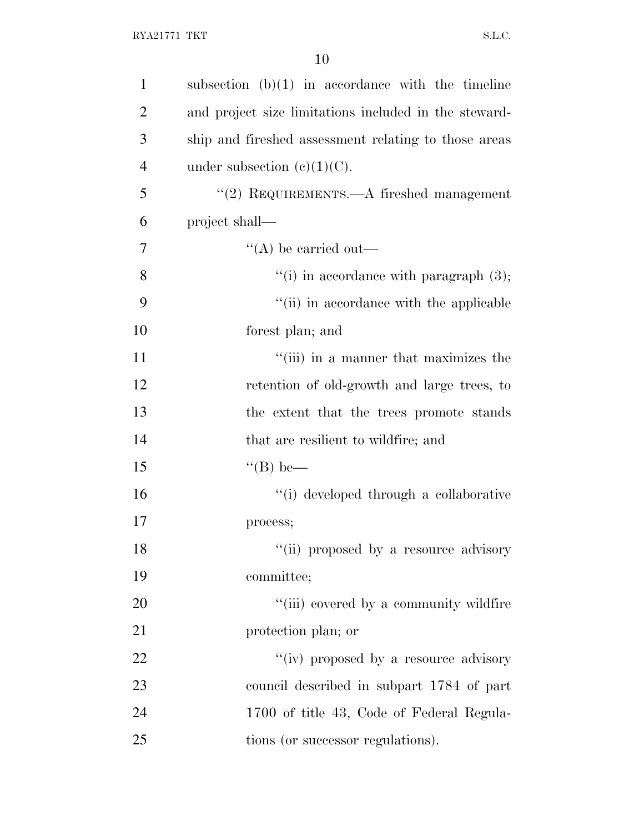| $\mathbf{1}$   | subsection $(b)(1)$ in accordance with the timeline   |
|----------------|-------------------------------------------------------|
| $\overline{2}$ | and project size limitations included in the steward- |
| 3              | ship and fireshed assessment relating to those areas  |
| $\overline{4}$ | under subsection $(e)(1)(C)$ .                        |
| 5              | $\lq (2)$ REQUIREMENTS.—A fireshed management         |
| 6              | project shall—                                        |
| 7              | $\lq\lq$ be carried out—                              |
| 8              | "(i) in accordance with paragraph $(3)$ ;             |
| 9              | "(ii) in accordance with the applicable               |
| 10             | forest plan; and                                      |
| 11             | "(iii) in a manner that maximizes the                 |
| 12             | retention of old-growth and large trees, to           |
| 13             | the extent that the trees promote stands              |
| 14             | that are resilient to wildfire; and                   |
| 15             | $\lq\lq (B)$ be—                                      |
| 16             | "(i) developed through a collaborative                |
| 17             | process;                                              |
| 18             | "(ii) proposed by a resource advisory                 |
| 19             | committee;                                            |
| 20             | "(iii) covered by a community wildfire                |
| 21             | protection plan; or                                   |
| 22             | "(iv) proposed by a resource advisory                 |
| 23             | council described in subpart 1784 of part             |
| 24             | 1700 of title 43, Code of Federal Regula-             |
| 25             | tions (or successor regulations).                     |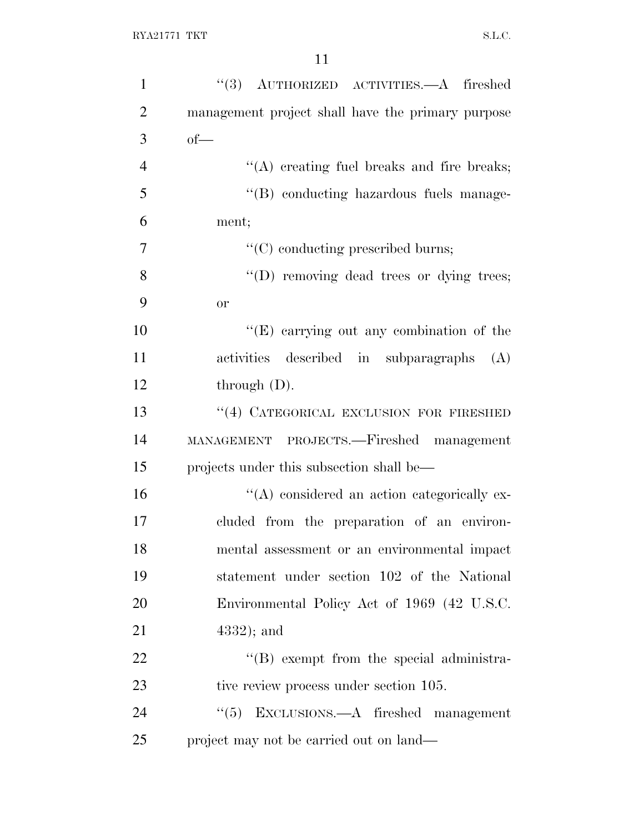| $\mathbf{1}$   | "(3) AUTHORIZED ACTIVITIES.—A fireshed             |
|----------------|----------------------------------------------------|
| $\overline{2}$ | management project shall have the primary purpose  |
| 3              | $of$ —                                             |
| $\overline{4}$ | "(A) creating fuel breaks and fire breaks;         |
| 5              | "(B) conducting hazardous fuels manage-            |
| 6              | ment;                                              |
| 7              | $\lq\lq$ conducting prescribed burns;              |
| 8              | "(D) removing dead trees or dying trees;           |
| 9              | <b>or</b>                                          |
| 10             | " $(E)$ carrying out any combination of the        |
| 11             | activities described in subparagraphs<br>(A)       |
| 12             | through $(D)$ .                                    |
| 13             | "(4) CATEGORICAL EXCLUSION FOR FIRESHED            |
| 14             | MANAGEMENT PROJECTS.—Fireshed management           |
| 15             | projects under this subsection shall be—           |
| 16             | $\lq\lq$ considered an action categorically ex-    |
| 17             | cluded from the preparation of an environ-         |
| 18             | mental assessment or an environmental impact       |
| 19             | statement under section 102 of the National        |
| 20             | Environmental Policy Act of 1969 (42 U.S.C.        |
| 21             | $(4332)$ ; and                                     |
| 22             | $\lq\lq (B)$ exempt from the special administra-   |
| 23             | tive review process under section 105.             |
| 24             | $\cdot\cdot$ (5) EXCLUSIONS.—A fireshed management |
| 25             | project may not be carried out on land—            |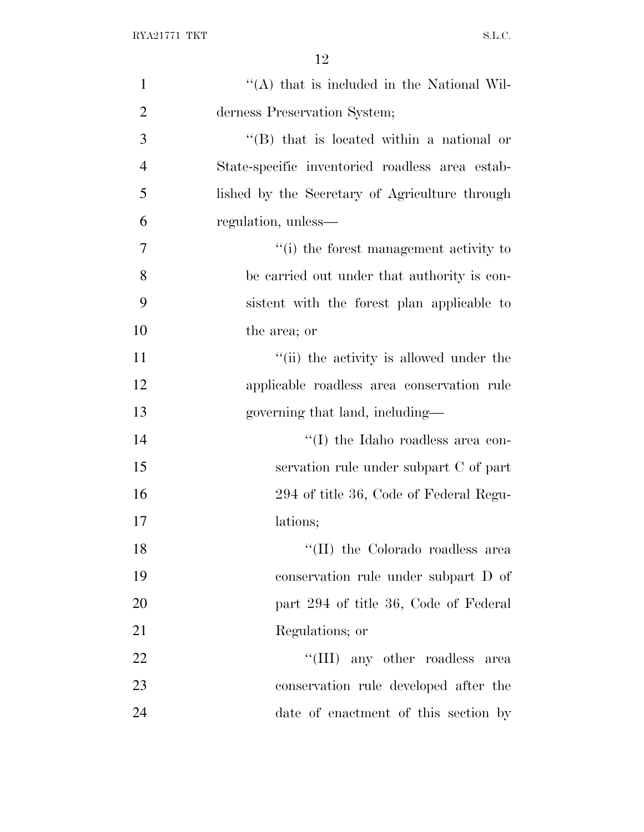| $\mathbf{1}$   | "(A) that is included in the National Wil-      |
|----------------|-------------------------------------------------|
| $\overline{2}$ | derness Preservation System;                    |
| 3              | $\lq\lq$ that is located within a national or   |
| $\overline{4}$ | State-specific inventoried roadless area estab- |
| 5              | lished by the Secretary of Agriculture through  |
| 6              | regulation, unless—                             |
| 7              | "(i) the forest management activity to          |
| 8              | be carried out under that authority is con-     |
| 9              | sistent with the forest plan applicable to      |
| 10             | the area; or                                    |
| 11             | "(ii) the activity is allowed under the         |
| 12             | applicable roadless area conservation rule      |
| 13             | governing that land, including—                 |
| 14             | "(I) the Idaho roadless area con-               |
| 15             | servation rule under subpart C of part          |
| 16             | 294 of title 36, Code of Federal Regu-          |
| 17             | lations;                                        |
| 18             | "(II) the Colorado roadless area                |
| 19             | conservation rule under subpart D of            |
| 20             | part 294 of title 36, Code of Federal           |
| 21             | Regulations; or                                 |
| 22             | "(III) any other roadless area                  |
| 23             | conservation rule developed after the           |
| 24             | date of enactment of this section by            |
|                |                                                 |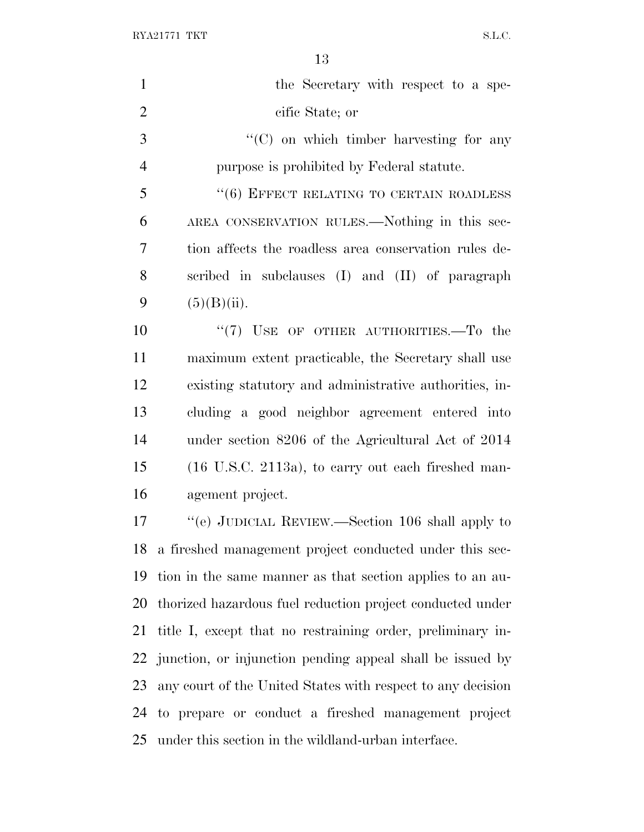$\begin{minipage}{.4\linewidth} \begin{tabular}{l} \bf{RYA21771} \end{tabular} \end{minipage} \begin{minipage}{.4\linewidth} \begin{tabular}{l} \bf{S.L.C.} \end{tabular} \end{minipage}$ 

| $\mathbf{1}$   | the Secretary with respect to a spe-                           |
|----------------|----------------------------------------------------------------|
| $\overline{2}$ | cific State; or                                                |
| 3              | $\lq\lq$ (C) on which timber harvesting for any                |
| $\overline{4}$ | purpose is prohibited by Federal statute.                      |
| 5              | "(6) EFFECT RELATING TO CERTAIN ROADLESS                       |
| 6              | AREA CONSERVATION RULES.—Nothing in this sec-                  |
| 7              | tion affects the roadless area conservation rules de-          |
| 8              | scribed in subclauses (I) and (II) of paragraph                |
| 9              | (5)(B)(ii).                                                    |
| 10             | " $(7)$ USE OF OTHER AUTHORITIES.—To the                       |
| 11             | maximum extent practicable, the Secretary shall use            |
| 12             | existing statutory and administrative authorities, in-         |
| 13             | cluding a good neighbor agreement entered into                 |
| 14             | under section 8206 of the Agricultural Act of 2014             |
| 15             | $(16 \text{ U.S.C. } 2113a)$ , to carry out each fireshed man- |
| 16             | agement project.                                               |
| 17             | "(e) JUDICIAL REVIEW.—Section 106 shall apply to               |
|                | 18 a fireshed management project conducted under this sec-     |
| 19             | tion in the same manner as that section applies to an au-      |
| 20             | thorized hazardous fuel reduction project conducted under      |
| 21             | title I, except that no restraining order, preliminary in-     |
|                | 22 junction, or injunction pending appeal shall be issued by   |
| 23             | any court of the United States with respect to any decision    |
|                | 24 to prepare or conduct a fireshed management project         |
| 25             | under this section in the wildland-urban interface.            |